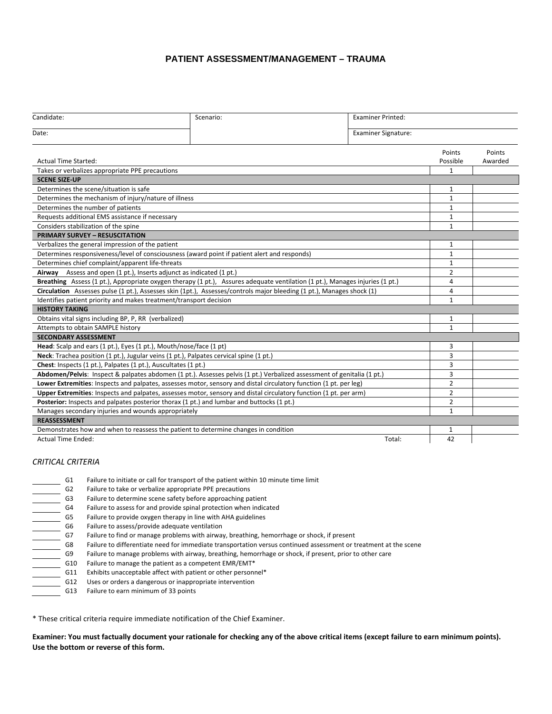# **PATIENT ASSESSMENT/MANAGEMENT – TRAUMA**

| Candidate:                                                                                                             | Scenario:                                                                                                                           | <b>Examiner Printed:</b>   |                    |                   |
|------------------------------------------------------------------------------------------------------------------------|-------------------------------------------------------------------------------------------------------------------------------------|----------------------------|--------------------|-------------------|
| Date:                                                                                                                  |                                                                                                                                     | <b>Examiner Signature:</b> |                    |                   |
| <b>Actual Time Started:</b>                                                                                            |                                                                                                                                     |                            | Points<br>Possible | Points<br>Awarded |
| Takes or verbalizes appropriate PPE precautions                                                                        |                                                                                                                                     |                            | 1                  |                   |
| <b>SCENE SIZE-UP</b>                                                                                                   |                                                                                                                                     |                            |                    |                   |
| Determines the scene/situation is safe                                                                                 |                                                                                                                                     |                            | 1                  |                   |
| Determines the mechanism of injury/nature of illness                                                                   |                                                                                                                                     |                            | $\mathbf{1}$       |                   |
| Determines the number of patients                                                                                      |                                                                                                                                     |                            | $\mathbf{1}$       |                   |
| Requests additional EMS assistance if necessary                                                                        |                                                                                                                                     |                            | $\mathbf{1}$       |                   |
| Considers stabilization of the spine                                                                                   |                                                                                                                                     |                            | 1                  |                   |
| <b>PRIMARY SURVEY - RESUSCITATION</b>                                                                                  |                                                                                                                                     |                            |                    |                   |
| Verbalizes the general impression of the patient                                                                       |                                                                                                                                     |                            | 1                  |                   |
|                                                                                                                        | Determines responsiveness/level of consciousness (award point if patient alert and responds)                                        |                            | $\mathbf{1}$       |                   |
| Determines chief complaint/apparent life-threats                                                                       |                                                                                                                                     |                            |                    |                   |
| Airway Assess and open (1 pt.), Inserts adjunct as indicated (1 pt.)                                                   |                                                                                                                                     |                            | $\overline{2}$     |                   |
|                                                                                                                        | <b>Breathing</b> Assess (1 pt.), Appropriate oxygen therapy (1 pt.), Assures adequate ventilation (1 pt.), Manages injuries (1 pt.) |                            | 4                  |                   |
| Circulation Assesses pulse (1 pt.), Assesses skin (1pt.), Assesses/controls major bleeding (1 pt.), Manages shock (1)  |                                                                                                                                     |                            | 4                  |                   |
| Identifies patient priority and makes treatment/transport decision                                                     |                                                                                                                                     |                            | $\mathbf{1}$       |                   |
| <b>HISTORY TAKING</b>                                                                                                  |                                                                                                                                     |                            |                    |                   |
| Obtains vital signs including BP, P, RR (verbalized)                                                                   |                                                                                                                                     |                            | 1                  |                   |
| Attempts to obtain SAMPLE history                                                                                      |                                                                                                                                     |                            | $\mathbf{1}$       |                   |
| <b>SECONDARY ASSESSMENT</b>                                                                                            |                                                                                                                                     |                            |                    |                   |
| Head: Scalp and ears (1 pt.), Eyes (1 pt.), Mouth/nose/face (1 pt)                                                     |                                                                                                                                     |                            | 3                  |                   |
| Neck: Trachea position (1 pt.), Jugular veins (1 pt.), Palpates cervical spine (1 pt.)                                 |                                                                                                                                     |                            | 3                  |                   |
| Chest: Inspects (1 pt.), Palpates (1 pt.), Auscultates (1 pt.)                                                         |                                                                                                                                     |                            | 3                  |                   |
| Abdomen/Pelvis: Inspect & palpates abdomen (1 pt.). Assesses pelvis (1 pt.) Verbalized assessment of genitalia (1 pt.) |                                                                                                                                     |                            | 3                  |                   |
| Lower Extremities: Inspects and palpates, assesses motor, sensory and distal circulatory function (1 pt. per leg)      |                                                                                                                                     |                            | $\overline{2}$     |                   |
| Upper Extremities: Inspects and palpates, assesses motor, sensory and distal circulatory function (1 pt. per arm)      |                                                                                                                                     |                            | $\overline{2}$     |                   |
| Posterior: Inspects and palpates posterior thorax (1 pt.) and lumbar and buttocks (1 pt.)                              |                                                                                                                                     |                            | $\overline{2}$     |                   |
| Manages secondary injuries and wounds appropriately                                                                    |                                                                                                                                     |                            | $\mathbf{1}$       |                   |
| <b>REASSESSMENT</b>                                                                                                    |                                                                                                                                     |                            |                    |                   |
|                                                                                                                        | Demonstrates how and when to reassess the patient to determine changes in condition                                                 |                            | 1<br>42            |                   |
| <b>Actual Time Ended:</b><br>Total:                                                                                    |                                                                                                                                     |                            |                    |                   |

#### *CRITICAL CRITERIA*

| G1             | Failure to initiate or call for transport of the patient within 10 minute time limit                             |
|----------------|------------------------------------------------------------------------------------------------------------------|
| G <sub>2</sub> | Failure to take or verbalize appropriate PPE precautions                                                         |
| G3             | Failure to determine scene safety before approaching patient                                                     |
| G4             | Failure to assess for and provide spinal protection when indicated                                               |
| G5             | Failure to provide oxygen therapy in line with AHA guidelines                                                    |
| G6             | Failure to assess/provide adequate ventilation                                                                   |
| G7             | Failure to find or manage problems with airway, breathing, hemorrhage or shock, if present                       |
| G8             | Failure to differentiate need for immediate transportation versus continued assessment or treatment at the scene |
| G9             | Failure to manage problems with airway, breathing, hemorrhage or shock, if present, prior to other care          |
| G10            | Failure to manage the patient as a competent EMR/EMT*                                                            |
| G11            | Exhibits unacceptable affect with patient or other personnel*                                                    |
| G12            | Uses or orders a dangerous or inappropriate intervention                                                         |
| G13            | Failure to earn minimum of 33 points                                                                             |
|                |                                                                                                                  |

\* These critical criteria require immediate notification of the Chief Examiner.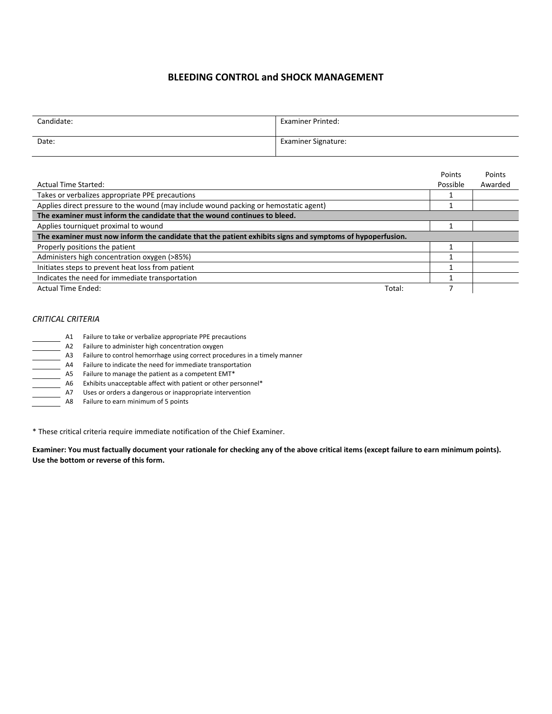# **BLEEDING CONTROL and SHOCK MANAGEMENT**

| Candidate: | <b>Examiner Printed:</b>   |
|------------|----------------------------|
| Date:      | <b>Examiner Signature:</b> |

|                                                                                                           | Points   | Points  |
|-----------------------------------------------------------------------------------------------------------|----------|---------|
| <b>Actual Time Started:</b>                                                                               | Possible | Awarded |
| Takes or verbalizes appropriate PPE precautions                                                           |          |         |
| Applies direct pressure to the wound (may include wound packing or hemostatic agent)                      |          |         |
| The examiner must inform the candidate that the wound continues to bleed.                                 |          |         |
| Applies tourniquet proximal to wound                                                                      |          |         |
| The examiner must now inform the candidate that the patient exhibits signs and symptoms of hypoperfusion. |          |         |
| Properly positions the patient                                                                            |          |         |
| Administers high concentration oxygen (>85%)                                                              |          |         |
| Initiates steps to prevent heat loss from patient                                                         |          |         |
| Indicates the need for immediate transportation                                                           |          |         |
| Actual Time Ended:<br>Total:                                                                              |          |         |

### *CRITICAL CRITERIA*

| A1  | Failure to take or verbalize appropriate PPE precautions                  |
|-----|---------------------------------------------------------------------------|
| A2  | Failure to administer high concentration oxygen                           |
| A3  | Failure to control hemorrhage using correct procedures in a timely manner |
| Α4  | Failure to indicate the need for immediate transportation                 |
| A5. | Failure to manage the patient as a competent EMT*                         |
| A6. | Exhibits unacceptable affect with patient or other personnel*             |
| Α7  | Uses or orders a dangerous or inappropriate intervention                  |
| A8  | Failure to earn minimum of 5 points                                       |

\* These critical criteria require immediate notification of the Chief Examiner.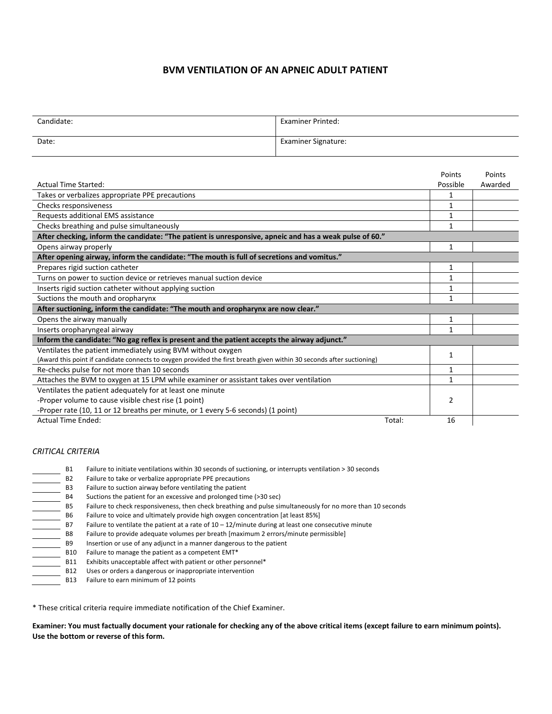# **BVM VENTILATION OF AN APNEIC ADULT PATIENT**

| Candidate: | <b>Examiner Printed:</b>   |
|------------|----------------------------|
| Date:      | <b>Examiner Signature:</b> |

|                                                                                                                       |        | Points         | Points  |
|-----------------------------------------------------------------------------------------------------------------------|--------|----------------|---------|
| <b>Actual Time Started:</b>                                                                                           |        | Possible       | Awarded |
| Takes or verbalizes appropriate PPE precautions                                                                       |        | 1              |         |
| Checks responsiveness                                                                                                 |        | 1              |         |
| Requests additional EMS assistance                                                                                    |        | 1              |         |
| Checks breathing and pulse simultaneously                                                                             |        | 1              |         |
| After checking, inform the candidate: "The patient is unresponsive, apneic and has a weak pulse of 60."               |        |                |         |
| Opens airway properly                                                                                                 |        | 1              |         |
| After opening airway, inform the candidate: "The mouth is full of secretions and vomitus."                            |        |                |         |
| Prepares rigid suction catheter                                                                                       |        | 1              |         |
| Turns on power to suction device or retrieves manual suction device                                                   |        | 1              |         |
| Inserts rigid suction catheter without applying suction                                                               |        | 1              |         |
| Suctions the mouth and oropharynx                                                                                     |        | 1              |         |
| After suctioning, inform the candidate: "The mouth and oropharynx are now clear."                                     |        |                |         |
| Opens the airway manually                                                                                             |        | 1              |         |
| Inserts oropharyngeal airway                                                                                          |        | 1              |         |
| Inform the candidate: "No gag reflex is present and the patient accepts the airway adjunct."                          |        |                |         |
| Ventilates the patient immediately using BVM without oxygen                                                           |        | 1              |         |
| (Award this point if candidate connects to oxygen provided the first breath given within 30 seconds after suctioning) |        |                |         |
| Re-checks pulse for not more than 10 seconds                                                                          |        | 1              |         |
| Attaches the BVM to oxygen at 15 LPM while examiner or assistant takes over ventilation                               |        | 1              |         |
| Ventilates the patient adequately for at least one minute                                                             |        |                |         |
| -Proper volume to cause visible chest rise (1 point)                                                                  |        | $\overline{2}$ |         |
| -Proper rate (10, 11 or 12 breaths per minute, or 1 every 5-6 seconds) (1 point)                                      |        |                |         |
| <b>Actual Time Ended:</b>                                                                                             | Total: | 16             |         |
|                                                                                                                       |        |                |         |

## *CRITICAL CRITERIA*

| <b>B1</b>      | Failure to initiate ventilations within 30 seconds of suctioning, or interrupts ventilation > 30 seconds   |
|----------------|------------------------------------------------------------------------------------------------------------|
| <b>B2</b>      | Failure to take or verbalize appropriate PPE precautions                                                   |
| B <sub>3</sub> | Failure to suction airway before ventilating the patient                                                   |
| <b>B4</b>      | Suctions the patient for an excessive and prolonged time (>30 sec)                                         |
| <b>B5</b>      | Failure to check responsiveness, then check breathing and pulse simultaneously for no more than 10 seconds |
| <b>B6</b>      | Failure to voice and ultimately provide high oxygen concentration [at least 85%]                           |
| <b>B7</b>      | Failure to ventilate the patient at a rate of $10 - 12$ /minute during at least one consecutive minute     |
| <b>B8</b>      | Failure to provide adequate volumes per breath [maximum 2 errors/minute permissible]                       |
| <b>B9</b>      | Insertion or use of any adjunct in a manner dangerous to the patient                                       |
| <b>B10</b>     | Failure to manage the patient as a competent EMT*                                                          |
| <b>B11</b>     | Exhibits unacceptable affect with patient or other personnel*                                              |
| <b>B12</b>     | Uses or orders a dangerous or inappropriate intervention                                                   |
| <b>B13</b>     | Failure to earn minimum of 12 points                                                                       |

\* These critical criteria require immediate notification of the Chief Examiner.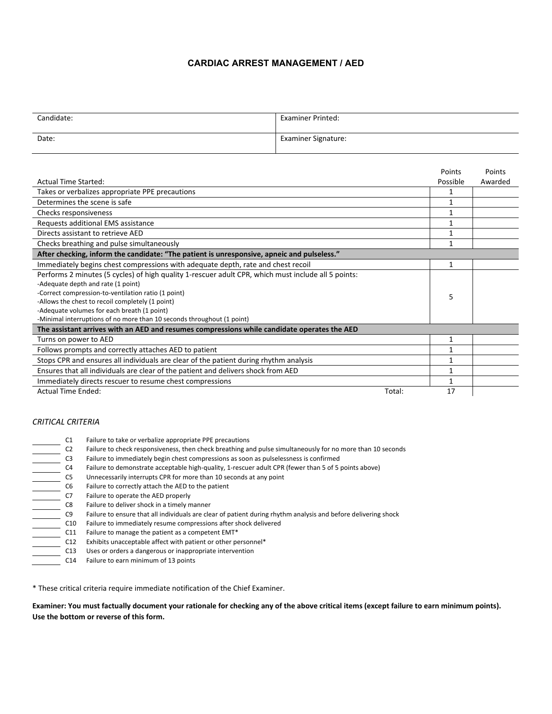### **CARDIAC ARREST MANAGEMENT / AED**

| Candidate: | <b>Examiner Printed:</b>   |
|------------|----------------------------|
| Date:      | <b>Examiner Signature:</b> |

|                                                                                                     | Points       | Points  |
|-----------------------------------------------------------------------------------------------------|--------------|---------|
| <b>Actual Time Started:</b>                                                                         | Possible     | Awarded |
| Takes or verbalizes appropriate PPE precautions                                                     |              |         |
| Determines the scene is safe                                                                        |              |         |
| Checks responsiveness                                                                               |              |         |
| Requests additional EMS assistance                                                                  |              |         |
| Directs assistant to retrieve AED                                                                   |              |         |
| Checks breathing and pulse simultaneously                                                           |              |         |
| After checking, inform the candidate: "The patient is unresponsive, apneic and pulseless."          |              |         |
| Immediately begins chest compressions with adequate depth, rate and chest recoil                    | 1            |         |
| Performs 2 minutes (5 cycles) of high quality 1-rescuer adult CPR, which must include all 5 points: |              |         |
| -Adequate depth and rate (1 point)                                                                  |              |         |
| -Correct compression-to-ventilation ratio (1 point)                                                 | 5            |         |
| -Allows the chest to recoil completely (1 point)                                                    |              |         |
| -Adequate volumes for each breath (1 point)                                                         |              |         |
| -Minimal interruptions of no more than 10 seconds throughout (1 point)                              |              |         |
| The assistant arrives with an AED and resumes compressions while candidate operates the AED         |              |         |
| Turns on power to AED                                                                               |              |         |
| Follows prompts and correctly attaches AED to patient                                               |              |         |
| Stops CPR and ensures all individuals are clear of the patient during rhythm analysis               |              |         |
| Ensures that all individuals are clear of the patient and delivers shock from AED                   |              |         |
| Immediately directs rescuer to resume chest compressions                                            |              |         |
| <b>Actual Time Ended:</b>                                                                           | Total:<br>17 |         |

### *CRITICAL CRITERIA*

| C <sub>1</sub>  | Failure to take or verbalize appropriate PPE precautions                                                       |
|-----------------|----------------------------------------------------------------------------------------------------------------|
| C <sub>2</sub>  | Failure to check responsiveness, then check breathing and pulse simultaneously for no more than 10 seconds     |
| C <sub>3</sub>  | Failure to immediately begin chest compressions as soon as pulselessness is confirmed                          |
| C4              | Failure to demonstrate acceptable high-quality, 1-rescuer adult CPR (fewer than 5 of 5 points above)           |
| C5              | Unnecessarily interrupts CPR for more than 10 seconds at any point                                             |
| C6              | Failure to correctly attach the AED to the patient                                                             |
| C7              | Failure to operate the AED properly                                                                            |
| C8              | Failure to deliver shock in a timely manner                                                                    |
| C <sub>9</sub>  | Failure to ensure that all individuals are clear of patient during rhythm analysis and before delivering shock |
| C10             | Failure to immediately resume compressions after shock delivered                                               |
| C11             | Failure to manage the patient as a competent EMT*                                                              |
| C12             | Exhibits unacceptable affect with patient or other personnel*                                                  |
| C13             | Uses or orders a dangerous or inappropriate intervention                                                       |
| C <sub>14</sub> | Failure to earn minimum of 13 points                                                                           |

\* These critical criteria require immediate notification of the Chief Examiner.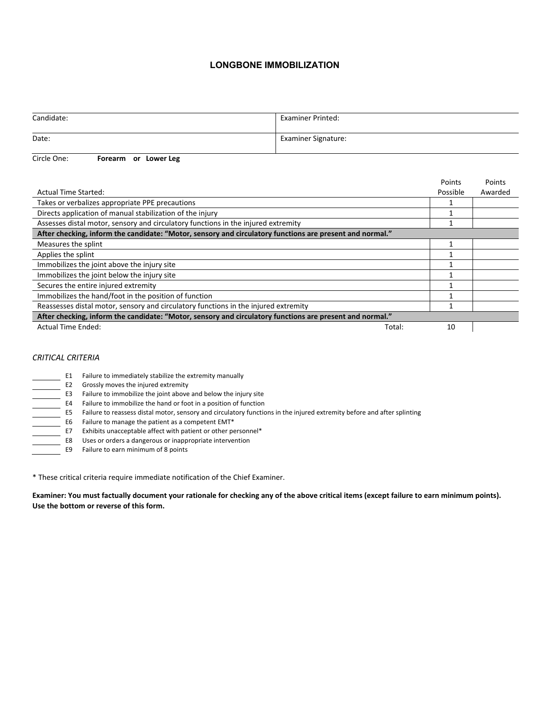## **LONGBONE IMMOBILIZATION**

| Candidate: | <b>Examiner Printed:</b>   |
|------------|----------------------------|
| Date:      | <b>Examiner Signature:</b> |

Circle One: **Forearm or Lower Leg**

|                                                                                                           | Points   | Points  |  |
|-----------------------------------------------------------------------------------------------------------|----------|---------|--|
| <b>Actual Time Started:</b>                                                                               | Possible | Awarded |  |
| Takes or verbalizes appropriate PPE precautions                                                           |          |         |  |
| Directs application of manual stabilization of the injury                                                 |          |         |  |
| Assesses distal motor, sensory and circulatory functions in the injured extremity                         |          |         |  |
| After checking, inform the candidate: "Motor, sensory and circulatory functions are present and normal."  |          |         |  |
| Measures the splint                                                                                       |          |         |  |
| Applies the splint                                                                                        |          |         |  |
| Immobilizes the joint above the injury site                                                               |          |         |  |
| Immobilizes the joint below the injury site                                                               |          |         |  |
| Secures the entire injured extremity                                                                      |          |         |  |
| Immobilizes the hand/foot in the position of function                                                     |          |         |  |
| Reassesses distal motor, sensory and circulatory functions in the injured extremity                       |          |         |  |
| "After checking, inform the candidate: "Motor, sensory and circulatory functions are present and normal." |          |         |  |
| Actual Time Ended:<br>Total:                                                                              | 10       |         |  |
|                                                                                                           |          |         |  |

## *CRITICAL CRITERIA*

| E1 | Failure to immediately stabilize the extremity manually                                                                 |
|----|-------------------------------------------------------------------------------------------------------------------------|
| E2 | Grossly moves the injured extremity                                                                                     |
| E3 | Failure to immobilize the joint above and below the injury site                                                         |
| E4 | Failure to immobilize the hand or foot in a position of function                                                        |
| E5 | Failure to reassess distal motor, sensory and circulatory functions in the injured extremity before and after splinting |
| E6 | Failure to manage the patient as a competent EMT*                                                                       |
| E7 | Exhibits unacceptable affect with patient or other personnel*                                                           |
| E8 | Uses or orders a dangerous or inappropriate intervention                                                                |
| E9 | Failure to earn minimum of 8 points                                                                                     |

\* These critical criteria require immediate notification of the Chief Examiner.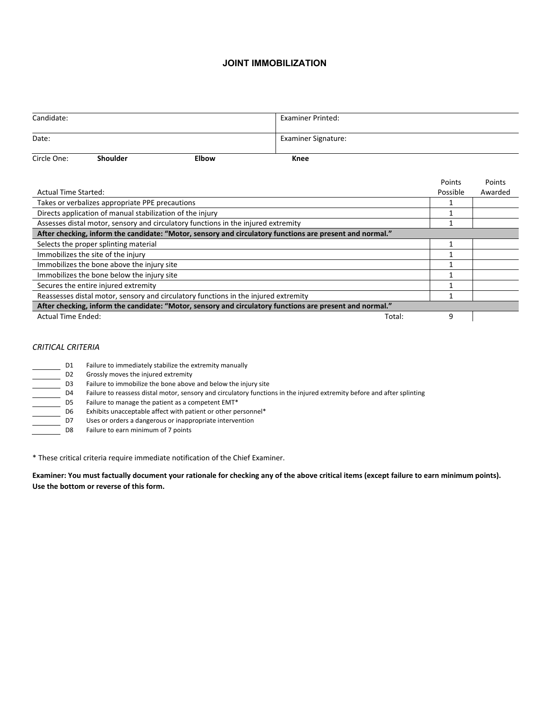#### **JOINT IMMOBILIZATION**

| Candidate:                                                                          |                             |              | <b>Examiner Printed:</b>                                                                                  |   |          |         |  |
|-------------------------------------------------------------------------------------|-----------------------------|--------------|-----------------------------------------------------------------------------------------------------------|---|----------|---------|--|
| Date:                                                                               |                             |              | <b>Examiner Signature:</b>                                                                                |   |          |         |  |
| Circle One:                                                                         | <b>Shoulder</b>             | <b>Elbow</b> | Knee                                                                                                      |   |          |         |  |
|                                                                                     |                             |              |                                                                                                           |   | Points   | Points  |  |
|                                                                                     | <b>Actual Time Started:</b> |              |                                                                                                           |   | Possible | Awarded |  |
| Takes or verbalizes appropriate PPE precautions                                     |                             |              |                                                                                                           |   |          |         |  |
| Directs application of manual stabilization of the injury                           |                             |              |                                                                                                           |   |          |         |  |
| Assesses distal motor, sensory and circulatory functions in the injured extremity   |                             |              |                                                                                                           |   |          |         |  |
|                                                                                     |                             |              | "After checking, inform the candidate: "Motor, sensory and circulatory functions are present and normal." |   |          |         |  |
| Selects the proper splinting material                                               |                             |              |                                                                                                           | 1 |          |         |  |
| Immobilizes the site of the injury                                                  |                             |              |                                                                                                           |   |          |         |  |
| Immobilizes the bone above the injury site                                          |                             |              |                                                                                                           |   |          |         |  |
| Immobilizes the bone below the injury site                                          |                             |              |                                                                                                           |   |          |         |  |
| Secures the entire injured extremity                                                |                             |              |                                                                                                           |   |          |         |  |
| Reassesses distal motor, sensory and circulatory functions in the injured extremity |                             |              |                                                                                                           |   |          |         |  |
|                                                                                     |                             |              | "After checking, inform the candidate: "Motor, sensory and circulatory functions are present and normal." |   |          |         |  |
| <b>Actual Time Ended:</b><br>Total:                                                 |                             |              |                                                                                                           | 9 |          |         |  |

## *CRITICAL CRITERIA*

| D1             | Failure to immediately stabilize the extremity manually                                                                 |
|----------------|-------------------------------------------------------------------------------------------------------------------------|
| D <sub>2</sub> | Grossly moves the injured extremity                                                                                     |
| D3             | Failure to immobilize the bone above and below the injury site                                                          |
| D4             | Failure to reassess distal motor, sensory and circulatory functions in the injured extremity before and after splinting |
| D5             | Failure to manage the patient as a competent EMT*                                                                       |
| D6             | Exhibits unacceptable affect with patient or other personnel*                                                           |
| D7             | Uses or orders a dangerous or inappropriate intervention                                                                |
| D8             | Failure to earn minimum of 7 points                                                                                     |

\* These critical criteria require immediate notification of the Chief Examiner.